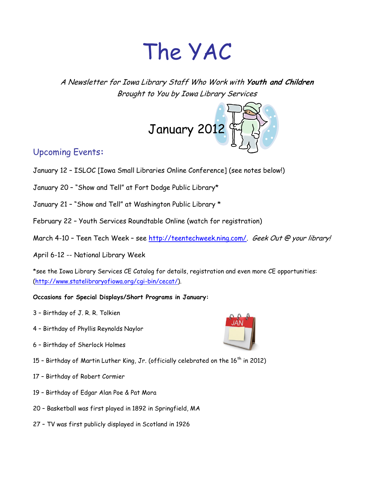# The YAC

A Newsletter for Iowa Library Staff Who Work with **Youth and Children** Brought to You by Iowa Library Services



### Upcoming Events**:**

- January 12 ISLOC [Iowa Small Libraries Online Conference] (see notes below!)
- January 20 "Show and Tell" at Fort Dodge Public Library\*
- January 21 "Show and Tell" at Washington Public Library \*
- February 22 Youth Services Roundtable Online (watch for registration)
- March 4-10 Teen Tech Week see [http://teentechweek.ning.com/.](http://teentechweek.ning.com/) Geek Out @ your library!
- April 6-12 -- National Library Week

\*see the Iowa Library Services CE Catalog for details, registration and even more CE opportunities: [\(http://www.statelibraryofiowa.org/cgi-bin/cecat/\)](http://www.statelibraryofiowa.org/cgi-bin/cecat/).

#### **Occasions for Special Displays/Short Programs in January:**

- 3 Birthday of J. R. R. Tolkien
- 4 Birthday of Phyllis Reynolds Naylor
- 6 Birthday of Sherlock Holmes
- 15 Birthday of Martin Luther King, Jr. (officially celebrated on the 16<sup>th</sup> in 2012)
- 17 Birthday of Robert Cormier
- 19 Birthday of Edgar Alan Poe & Pat Mora
- 20 Basketball was first played in 1892 in Springfield, MA
- 27 TV was first publicly displayed in Scotland in 1926

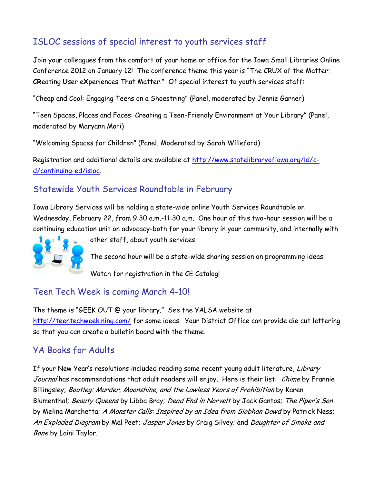# ISLOC sessions of special interest to youth services staff

Join your colleagues from the comfort of your home or office for the Iowa Small Libraries Online Conference 2012 on January 12! The conference theme this year is "The CRUX of the Matter: **CR**eating **U**ser e**X**periences That Matter." Of special interest to youth services staff:

"Cheap and Cool: Engaging Teens on a Shoestring" (Panel, moderated by Jennie Garner)

"Teen Spaces, Places and Faces: Creating a Teen-Friendly Environment at Your Library" (Panel, moderated by Maryann Mori)

"Welcoming Spaces for Children" (Panel, Moderated by Sarah Willeford)

Registration and additional details are available at [http://www.statelibraryofiowa.org/ld/c](http://www.statelibraryofiowa.org/ld/c-d/continuing-ed/isloc)[d/continuing-ed/isloc.](http://www.statelibraryofiowa.org/ld/c-d/continuing-ed/isloc) 

#### Statewide Youth Services Roundtable in February

Iowa Library Services will be holding a state-wide online Youth Services Roundtable on Wednesday, February 22, from 9:30 a.m.-11:30 a.m. One hour of this two-hour session will be a continuing education unit on advocacy-both for your library in your community, and internally with



other staff, about youth services.

The second hour will be a state-wide sharing session on programming ideas.

Watch for registration in the CE Catalog!

### Teen Tech Week is coming March 4-10!

The theme is "GEEK OUT @ your library." See the YALSA website at <http://teentechweek.ning.com/> for some ideas. Your District Office can provide die cut lettering so that you can create a bulletin board with the theme.

#### YA Books for Adults

If your New Year's resolutions included reading some recent young adult literature, Library Journal has recommendations that adult readers will enjoy. Here is their list: *Chime* by Frannie Billingsley; Bootleg: Murder, Moonshine, and the Lawless Years of Prohibition by Karen Blumenthal; Beauty Queens by Libba Bray; Dead End in Norvelt by Jack Gantos; The Piper's Son by Melina Marchetta; *A Monster Calls: Inspired by an Idea from Siobhan Dowd* by Patrick Ness; An Exploded Diagram by Mal Peet; Jasper Jones by Craig Silvey; and Daughter of Smoke and Bone by Laini Taylor.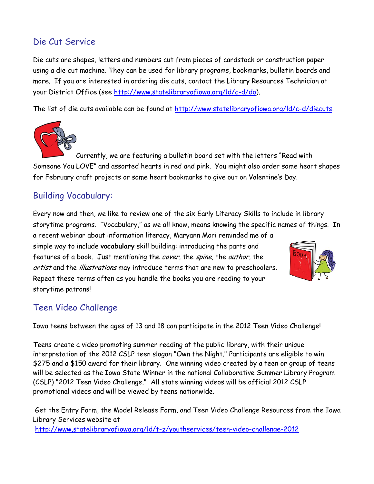# Die Cut Service

Die cuts are shapes, letters and numbers cut from pieces of cardstock or construction paper using a die cut machine. They can be used for library programs, bookmarks, bulletin boards and more. If you are interested in ordering die cuts, contact the Library Resources Technician at your District Office (see [http://www.statelibraryofiowa.org/ld/c-d/do\)](http://www.statelibraryofiowa.org/ld/c-d/do).

The list of die cuts available can be found at [http://www.statelibraryofiowa.org/ld/c-d/diecuts.](http://www.statelibraryofiowa.org/ld/c-d/diecuts)



Currently, we are featuring a bulletin board set with the letters "Read with Someone You LOVE" and assorted hearts in red and pink. You might also order some heart shapes for February craft projects or some heart bookmarks to give out on Valentine"s Day.

# Building Vocabulary:

Every now and then, we like to review one of the six Early Literacy Skills to include in library storytime programs. "Vocabulary," as we all know, means knowing the specific names of things. In

a recent webinar about information literacy, Maryann Mori reminded me of a simple way to include **vocabulary** skill building: introducing the parts and features of a book. Just mentioning the *cover*, the *spine*, the *author*, the artist and the illustrations may introduce terms that are new to preschoolers. Repeat these terms often as you handle the books you are reading to your storytime patrons!



# Teen Video Challenge

Iowa teens between the ages of 13 and 18 can participate in the 2012 Teen Video Challenge!

Teens create a video promoting summer reading at the public library, with their unique interpretation of the 2012 CSLP teen slogan "Own the Night." Participants are eligible to win \$275 and a \$150 award for their library. One winning video created by a teen or group of teens will be selected as the Iowa State Winner in the national Collaborative Summer Library Program (CSLP) "2012 Teen Video Challenge." All state winning videos will be official 2012 CSLP promotional videos and will be viewed by teens nationwide.

Get the Entry Form, the Model Release Form, and Teen Video Challenge Resources from the Iowa Library Services website at <http://www.statelibraryofiowa.org/ld/t-z/youthservices/teen-video-challenge-2012>